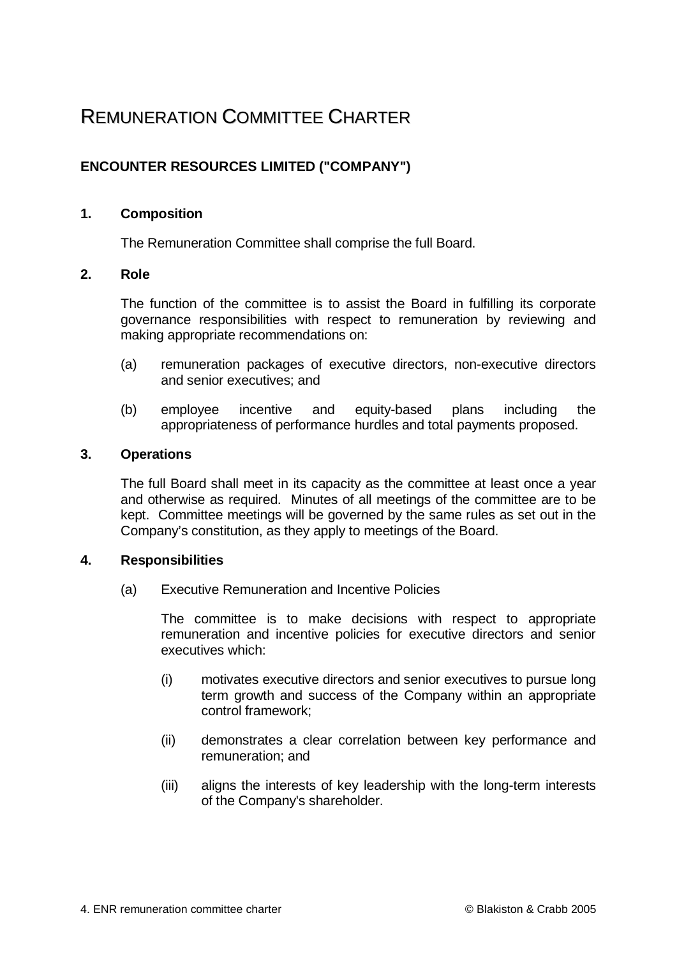# REMUNERATION COMMITTEE CHARTER

## **ENCOUNTER RESOURCES LIMITED ("COMPANY")**

### **1. Composition**

The Remuneration Committee shall comprise the full Board.

### **2. Role**

The function of the committee is to assist the Board in fulfilling its corporate governance responsibilities with respect to remuneration by reviewing and making appropriate recommendations on:

- (a) remuneration packages of executive directors, non-executive directors and senior executives; and
- (b) employee incentive and equity-based plans including the appropriateness of performance hurdles and total payments proposed.

### **3. Operations**

The full Board shall meet in its capacity as the committee at least once a year and otherwise as required. Minutes of all meetings of the committee are to be kept. Committee meetings will be governed by the same rules as set out in the Company's constitution, as they apply to meetings of the Board.

#### **4. Responsibilities**

(a) Executive Remuneration and Incentive Policies

The committee is to make decisions with respect to appropriate remuneration and incentive policies for executive directors and senior executives which:

- (i) motivates executive directors and senior executives to pursue long term growth and success of the Company within an appropriate control framework;
- (ii) demonstrates a clear correlation between key performance and remuneration; and
- (iii) aligns the interests of key leadership with the long-term interests of the Company's shareholder.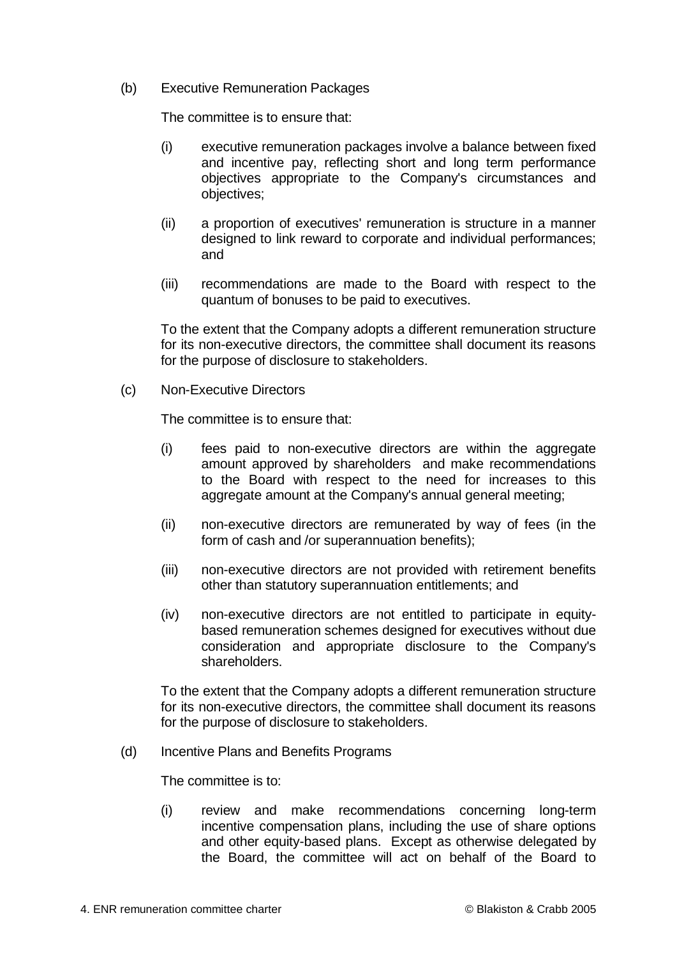(b) Executive Remuneration Packages

The committee is to ensure that:

- (i) executive remuneration packages involve a balance between fixed and incentive pay, reflecting short and long term performance objectives appropriate to the Company's circumstances and objectives;
- (ii) a proportion of executives' remuneration is structure in a manner designed to link reward to corporate and individual performances; and
- (iii) recommendations are made to the Board with respect to the quantum of bonuses to be paid to executives.

To the extent that the Company adopts a different remuneration structure for its non-executive directors, the committee shall document its reasons for the purpose of disclosure to stakeholders.

(c) Non-Executive Directors

The committee is to ensure that:

- (i) fees paid to non-executive directors are within the aggregate amount approved by shareholders and make recommendations to the Board with respect to the need for increases to this aggregate amount at the Company's annual general meeting;
- (ii) non-executive directors are remunerated by way of fees (in the form of cash and /or superannuation benefits);
- (iii) non-executive directors are not provided with retirement benefits other than statutory superannuation entitlements; and
- (iv) non-executive directors are not entitled to participate in equitybased remuneration schemes designed for executives without due consideration and appropriate disclosure to the Company's shareholders.

To the extent that the Company adopts a different remuneration structure for its non-executive directors, the committee shall document its reasons for the purpose of disclosure to stakeholders.

(d) Incentive Plans and Benefits Programs

The committee is to:

(i) review and make recommendations concerning long-term incentive compensation plans, including the use of share options and other equity-based plans. Except as otherwise delegated by the Board, the committee will act on behalf of the Board to